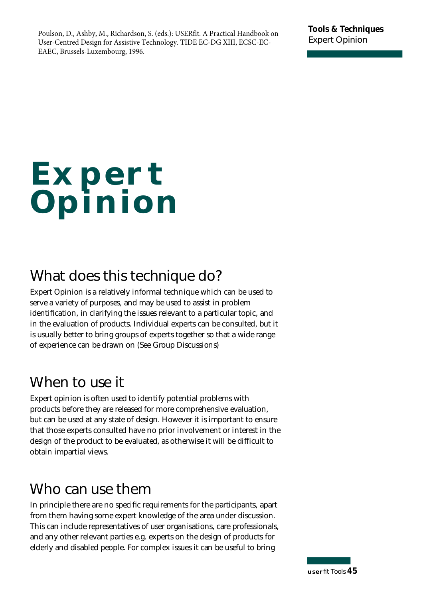# **Expert Opinion**

# **What does this technique do?**

Expert Opinion is a relatively informal technique which can be used to serve a variety of purposes, and may be used to assist in problem identification, in clarifying the issues relevant to a particular topic, and in the evaluation of products. Individual experts can be consulted, but it is usually better to bring groups of experts together so that a wide range of experience can be drawn on (See Group Discussions)

# **When to use it**

Expert opinion is often used to identify potential problems with p roducts before they are released for more comprehensive evaluation, but can be used at any state of design. However it is important to ensure that those experts consulted have no prior involvement or interest in the design of the product to be evaluated, as otherwise it will be difficult to obtain impartial views.

# **Who can use them**

In principle there are no specific requirements for the participants, apart from them having some expert knowledge of the area under discussion. This can include representatives of user organisations, care professionals, and any other relevant parties e.g. experts on the design of products for elderly and disabled people. For complex issues it can be useful to bring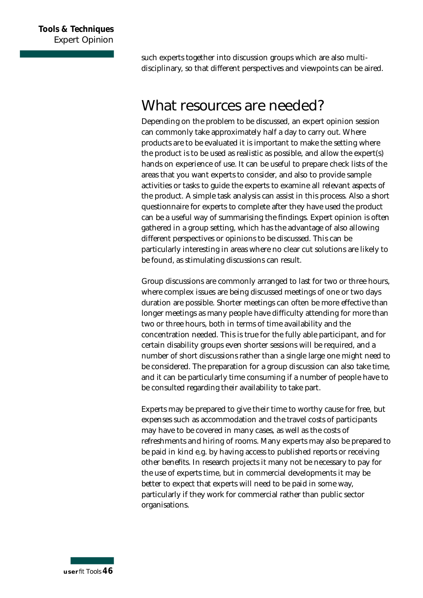such experts together into discussion groups which are also multidisciplinary, so that different perspectives and viewpoints can be aired.

### **What resources are needed?**

Depending on the problem to be discussed, an expert opinion session can commonly take approximately half a day to carry out. Where p roducts are to be evaluated it is important to make the setting where the product is to be used as realistic as possible, and allow the  $expert(s)$ hands on experience of use. It can be useful to prepare check lists of the areas that you want experts to consider, and also to provide sample activities or tasks to guide the experts to examine all relevant aspects of the product. A simple task analysis can assist in this process. Also a short questionnaire for experts to complete after they have used the product can be a useful way of summarising the findings. Expert opinion is often gathered in a group setting, which has the advantage of also allowing different perspectives or opinions to be discussed. This can be particularly interesting in areas where no clear cut solutions are likely to be found, as stimulating discussions can result.

Group discussions are commonly arranged to last for two or three hours, where complex issues are being discussed meetings of one or two days duration are possible. Shorter meetings can often be more effective than longer meetings as many people have difficulty attending for more than two or three hours, both in terms of time availability and the concentration needed. This is true for the fully able participant, and for certain disability groups even shorter sessions will be required, and a number of short discussions rather than a single large one might need to be considered. The preparation for a group discussion can also take time, and it can be particularly time consuming if a number of people have to be consulted regarding their availability to take part.

Experts may be prepared to give their time to worthy cause for free, but expenses such as accommodation and the travel costs of participants may have to be covered in many cases, as well as the costs of refreshments and hiring of rooms. Many experts may also be prepared to be paid in kind e.g. by having access to published reports or receiving other benefits. In research projects it many not be necessary to pay for the use of experts time, but in commercial developments it may be better to expect that experts will need to be paid in some way, particularly if they work for commercial rather than public sector organisations.

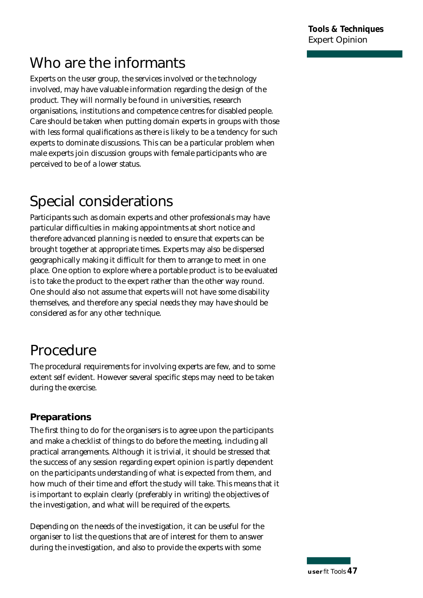**Tools & Techniques Expert Opinion** 

# **Who are the informants**

Experts on the user group, the services involved or the technology involved, may have valuable information regarding the design of the product. They will normally be found in universities, research o rganisations, institutions and competence centres for disabled people. Care should be taken when putting domain experts in groups with those with less formal qualifications as there is likely to be a tendency for such experts to dominate discussions. This can be a particular problem when male experts join discussion groups with female participants who are perceived to be of a lower status.

# **Special considerations**

Participants such as domain experts and other professionals may have particular difficulties in making appointments at short notice and therefore advanced planning is needed to ensure that experts can be brought together at appropriate times. Experts may also be dispersed geographically making it difficult for them to arrange to meet in one place. One option to explore where a portable product is to be evaluated is to take the product to the expert rather than the other way round. One should also not assume that experts will not have some disability themselves, and therefore any special needs they may have should be considered as for any other technique.

# **Procedure**

The procedural requirements for involving experts are few, and to some extent self evident. However several specific steps may need to be taken during the exercise.

### **Preparations**

The first thing to do for the organisers is to agree upon the participants and make a checklist of things to do before the meeting, including all practical arrangements. Although it is trivial, it should be stressed that the success of any session regarding expert opinion is partly dependent on the participants understanding of what is expected from them, and how much of their time and effort the study will take. This means that it is important to explain clearly (preferably in writing) the objectives of the investigation, and what will be required of the experts.

Depending on the needs of the investigation, it can be useful for the organiser to list the questions that are of interest for them to answer during the investigation, and also to provide the experts with some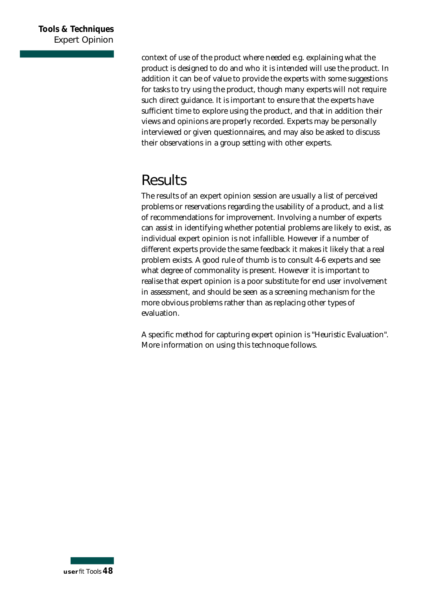context of use of the product where needed e.g. explaining what the p roduct is designed to do and who it is intended will use the product. In addition it can be of value to provide the experts with some suggestions for tasks to try using the product, though many experts will not require such direct guidance. It is important to ensure that the experts have sufficient time to explore using the product, and that in addition their views and opinions are properly recorded. Experts may be personally interviewed or given questionnaires, and may also be asked to discuss their observations in a group setting with other experts.

# **Results**

The results of an expert opinion session are usually a list of perceived problems or reservations regarding the usability of a product, and a list of recommendations for improvement. Involving a number of experts can assist in identifying whether potential problems are likely to exist, as individual expert opinion is not infallible. However if a number of different experts provide the same feedback it makes it likely that a real p roblem exists. A good rule of thumb is to consult 4-6 experts and see what degree of commonality is present. However it is important to realise that expert opinion is a poor substitute for end user involvement in assessment, and should be seen as a screening mechanism for the more obvious problems rather than as replacing other types of evaluation.

A specific method for capturing expert opinion is "Heuristic Evaluation". More information on using this technoque follows.

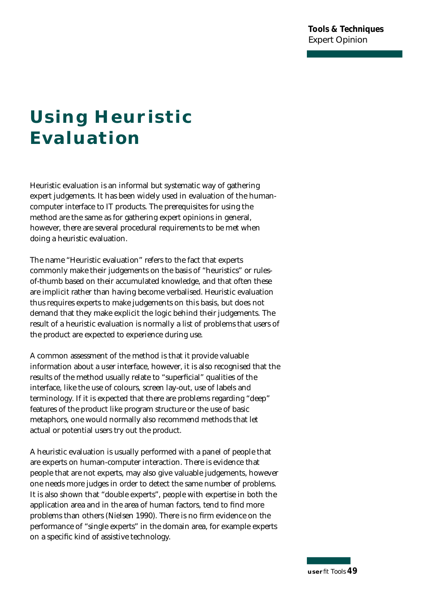# **Using Heuristic Evaluation**

Heuristic evaluation is an informal but systematic way of gathering expert judgements. It has been widely used in evaluation of the humancomputer interface to IT products. The prerequisites for using the method are the same as for gathering expert opinions in general, however, there are several procedural requirements to be met when doing a heuristic evaluation.

The name "Heuristic evaluation" refers to the fact that experts commonly make their judgements on the basis of "heuristics" or rulesof-thumb based on their accumulated knowledge, and that often these are implicit rather than having become verbalised. Heuristic evaluation thus requires experts to make judgements on this basis, but does not demand that they make explicit the logic behind their judgements. The result of a heuristic evaluation is normally a list of problems that users of the product are expected to experience during use.

A common assessment of the method is that it provide valuable information about a user interface, however, it is also recognised that the results of the method usually relate to "superficial" qualities of the interface, like the use of colours, screen lay-out, use of labels and terminology. If it is expected that there are problems regarding "deep" features of the product like program structure or the use of basic metaphors, one would normally also recommend methods that let actual or potential users try out the product.

A heuristic evaluation is usually performed with a panel of people that are experts on human-computer interaction. There is evidence that people that are not experts, may also give valuable judgements, however one needs more judges in order to detect the same number of problems. It is also shown that "double experts", people with expertise in both the application area and in the area of human factors, tend to find more problems than others (Nielsen 1990). There is no firm evidence on the performance of "single experts" in the domain area, for example experts on a specific kind of assistive technology.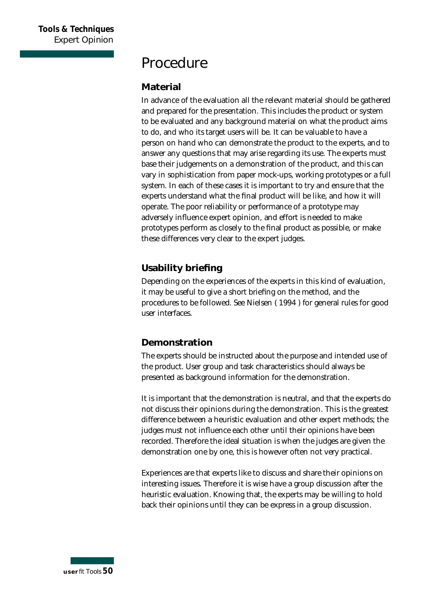### **Procedure**

#### **Material**

In advance of the evaluation all the relevant material should be gathered and prepared for the presentation. This includes the product or system to be evaluated and any background material on what the product aims to do, and who its target users will be. It can be valuable to have a person on hand who can demonstrate the product to the experts, and to answer any questions that may arise regarding its use. The experts must base their judgements on a demonstration of the product, and this can vary in sophistication from paper mock-ups, working prototypes or a full system. In each of these cases it is important to try and ensure that the experts understand what the final product will be like, and how it will operate. The poor reliability or performance of a prototype may adversely influence expert opinion, and effort is needed to make prototypes perform as closely to the final product as possible, or make these differences very clear to the expert judges.

### **Usability briefing**

Depending on the experiences of the experts in this kind of evaluation, it may be useful to give a short briefing on the method, and the procedures to be followed. See Nielsen (1994) for general rules for good user interfaces.

### **Demonstration**

The experts should be instructed about the purpose and intended use of the product. User group and task characteristics should always be presented as background information for the demonstration.

It is important that the demonstration is neutral, and that the experts do not discuss their opinions during the demonstration. This is the greatest difference between a heuristic evaluation and other expert methods; the judges must not influence each other until their opinions have been re corded. Therefore the ideal situation is when the judges are given the demonstration one by one, this is however often not very practical.

Experiences are that experts like to discuss and share their opinions on interesting issues. Therefore it is wise have a group discussion after the heuristic evaluation. Knowing that, the experts may be willing to hold back their opinions until they can be express in a group discussion.

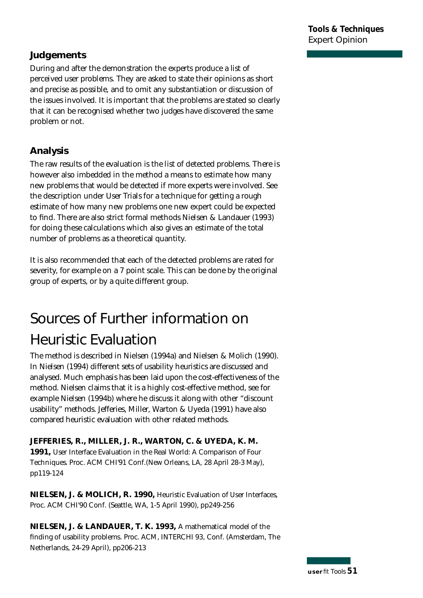### **Judgements**

During and after the demonstration the experts produce a list of perceived user problems. They are asked to state their opinions as short and precise as possible, and to omit any substantiation or discussion of the issues involved. It is important that the problems are stated so clearly that it can be recognised whether two judges have discovered the same problem or not.

### **Analysis**

The raw results of the evaluation is the list of detected problems. There is however also imbedded in the method a means to estimate how many new problems that would be detected if more experts were involved. See the description under User Trials for a technique for getting a rough estimate of how many new problems one new expert could be expected to find. There are also strict formal methods Nielsen & Landauer (1993) for doing these calculations which also gives an estimate of the total number of problems as a theoretical quantity.

It is also recommended that each of the detected problems are rated for severity, for example on a 7 point scale. This can be done by the original group of experts, or by a quite different group.

# **Sources of Further information on**

# **Heuristic Evaluation**

The method is described in Nielsen (1994a) and Nielsen & Molich (1990). In Nielsen (1994) different sets of usability heuristics are discussed and analysed. Much emphasis has been laid upon the cost-effectiveness of the method. Nielsen claims that it is a highly cost-effective method, see for example Nielsen (1994b) where he discuss it along with other "discount usability" methods. Jefferies, Miller, Warton & Uyeda (1991) have also compared heuristic evaluation with other related methods.

#### JEFFERIES, R., MILLER, J. R., WARTON, C. & UYEDA, K. M.

1991, User Interface Evaluation in the Real World: A Comparison of Four Techniques. Proc. ACM CHI'91 Conf.(New Orleans, LA, 28 April 28-3 May), pp 1 1 9 - 1 2 4

**NIELSEN, J. & MOLICH, R. 1990,** Heuristic Evaluation of User Interfaces, Proc. ACM CHI'90 Conf. (Seattle, WA, 1-5 April 1990), pp249-256

**NIELSEN, J. & LANDAUER, T. K. 1993,** A mathematical model of the finding of usability problems. Proc. ACM, INTERCHI 93, Conf. (Amsterdam, The Netherlands, 24-29 April), pp206-213